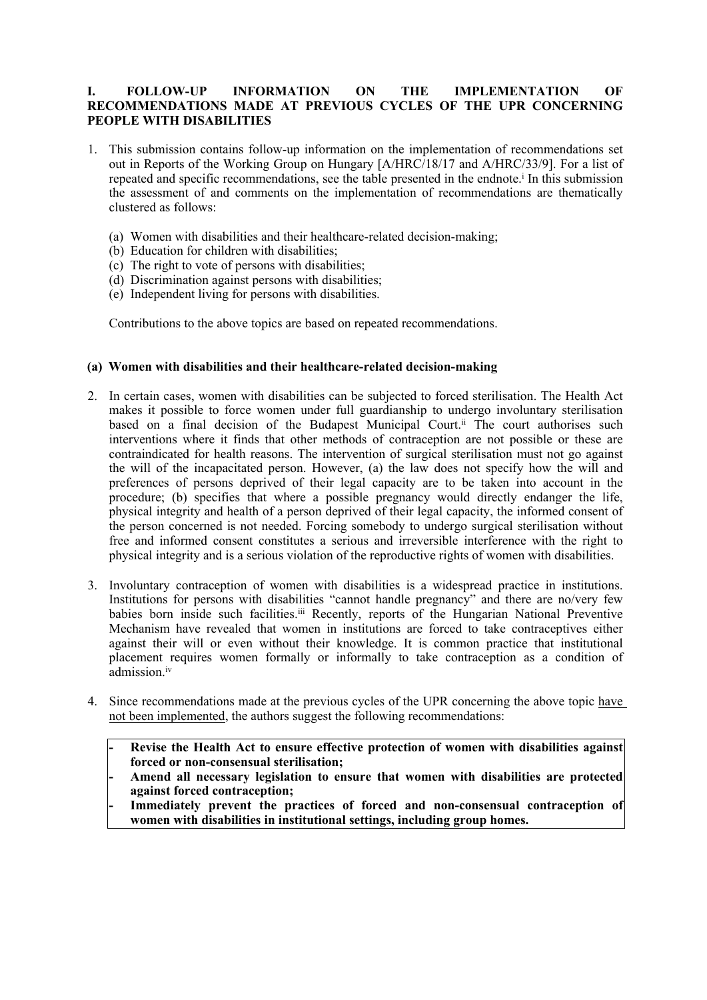## **I. FOLLOW-UP INFORMATION ON THE IMPLEMENTATION OF RECOMMENDATIONS MADE AT PREVIOUS CYCLES OF THE UPR CONCERNING PEOPLE WITH DISABILITIES**

- 1. This submission contains follow-up information on the implementation of recommendations set out in Reports of the Working Group on Hungary [A/HRC/18/17 and A/HRC/33/9]. For <sup>a</sup> list of repeated and specific recommendations, see the table presented in the endnote. i In this submission the assessment of and comments on the implementation of recommendations are thematically clustered as follows:
	- (a) Women with disabilities and their healthcare-related decision-making;
	- (b) Education for children with disabilities;
	- (c) The right to vote of persons with disabilities;
	- (d) Discrimination against persons with disabilities;
	- (e) Independent living for persons with disabilities.

Contributions to the above topics are based on repeated recommendations.

## **(a) Women with disabilities and their healthcare-related decision-making**

- 2. In certain cases, women with disabilities can be subjected to forced sterilisation. The Health Act makes it possible to force women under full guardianship to undergo involuntary sterilisation based on a final decision of the Budapest Municipal Court.<sup>ii</sup> The court authorises such interventions where it finds that other methods of contraception are not possible or these are contraindicated for health reasons. The intervention of surgical sterilisation must not go against the will of the incapacitated person. However, (a) the law does not specify how the will and preferences of persons deprived of their legal capacity are to be taken into account in the procedure; (b) specifies that where <sup>a</sup> possible pregnancy would directly endanger the life, physical integrity and health of <sup>a</sup> person deprived of their legal capacity, the informed consent of the person concerned is not needed. Forcing somebody to undergo surgical sterilisation without free and informed consent constitutes <sup>a</sup> serious and irreversible interference with the right to physical integrity and is <sup>a</sup> serious violation of the reproductive rights of women with disabilities.
- 3. Involuntary contraception of women with disabilities is <sup>a</sup> widespread practice in institutions. Institutions for persons with disabilities "cannot handle pregnancy" and there are no/very few babies born inside such facilities.<sup>iii</sup> Recently, reports of the Hungarian National Preventive Mechanism have revealed that women in institutions are forced to take contraceptives either against their will or even without their knowledge. It is common practice that institutional placement requires women formally or informally to take contraception as <sup>a</sup> condition of admission. iv
- 4. Since recommendations made at the previous cycles of the UPR concerning the above topic have not been implemented, the authors sugges<sup>t</sup> the following recommendations:
	- **Revise the Health Act to ensure effective protection of women with disabilities against forced or non-consensual sterilisation;**

 **Amend all necessary legislation to ensure that women with disabilities are protected against forced contraception;**

 **Immediately prevent the practices of forced and non-consensual contraception of women with disabilities in institutional settings, including group homes.**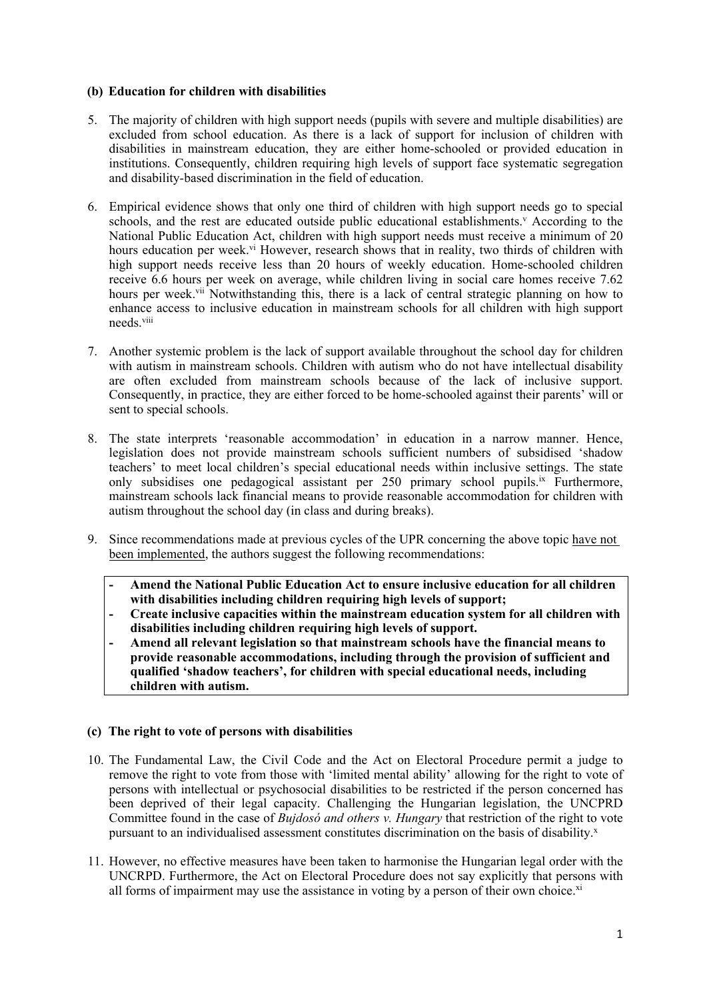## **(b) Education for children with disabilities**

- 5. The majority of children with high suppor<sup>t</sup> needs (pupils with severe and multiple disabilities) are excluded from school education. As there is <sup>a</sup> lack of suppor<sup>t</sup> for inclusion of children with disabilities in mainstream education, they are either home-schooled or provided education in institutions. Consequently, children requiring high levels of suppor<sup>t</sup> face systematic segregation and disability-based discrimination in the field of education.
- 6. Empirical evidence shows that only one third of children with high suppor<sup>t</sup> needs go to special schools, and the rest are educated outside public educational establishments.<sup>V</sup> According to the National Public Education Act, children with high suppor<sup>t</sup> needs must receive <sup>a</sup> minimum of 20 hours education per week.<sup>vi</sup> However, research shows that in reality, two thirds of children with high suppor<sup>t</sup> needs receive less than 20 hours of weekly education. Home-schooled children receive 6.6 hours per week on average, while children living in social care homes receive 7.62 hours per week.<sup>vii</sup> Notwithstanding this, there is a lack of central strategic planning on how to enhance access to inclusive education in mainstream schools for all children with high suppor<sup>t</sup> needs.<sup>viii</sup>
- 7. Another systemic problem is the lack of suppor<sup>t</sup> available throughout the school day for children with autism in mainstream schools. Children with autism who do not have intellectual disability are often excluded from mainstream schools because of the lack of inclusive support. Consequently, in practice, they are either forced to be home-schooled against their parents' will or sent to special schools.
- 8. The state interprets 'reasonable accommodation' in education in <sup>a</sup> narrow manner. Hence, legislation does not provide mainstream schools sufficient numbers of subsidised 'shadow teachers' to meet local children'<sup>s</sup> special educational needs within inclusive settings. The state only subsidises one pedagogical assistant per 250 primary school pupils.<sup>ix</sup> Furthermore, mainstream schools lack financial means to provide reasonable accommodation for children with autism throughout the school day (in class and during breaks).
- 9. Since recommendations made at previous cycles of the UPR concerning the above topic have not been implemented, the authors sugges<sup>t</sup> the following recommendations:
	- **Amend the National Public Education Act to ensure inclusive education for all children with disabilities including children requiring high levels of support;**
	- **Create inclusive capacities within the mainstream education system for all children with disabilities including children requiring high levels of support.**
	- **- Amend all relevant legislation so that mainstream schools have the financial means to provide reasonable accommodations, including through the provision of sufficient and qualified 'shadow teachers', for children with special educational needs, including children with autism.**

# **(c) The right to vote of persons with disabilities**

- 10. The Fundamental Law, the Civil Code and the Act on Electoral Procedure permit <sup>a</sup> judge to remove the right to vote from those with 'limited mental ability' allowing for the right to vote of persons with intellectual or psychosocial disabilities to be restricted if the person concerned has been deprived of their legal capacity. Challenging the Hungarian legislation, the UNCPRD Committee found in the case of *Bujdosó and others v. Hungary* that restriction of the right to vote pursuant to an individualised assessment constitutes discrimination on the basis of disability.<sup>x</sup>
- 11. However, no effective measures have been taken to harmonise the Hungarian legal order with the UNCRPD. Furthermore, the Act on Electoral Procedure does not say explicitly that persons with all forms of impairment may use the assistance in voting by a person of their own choice.<sup>xi</sup>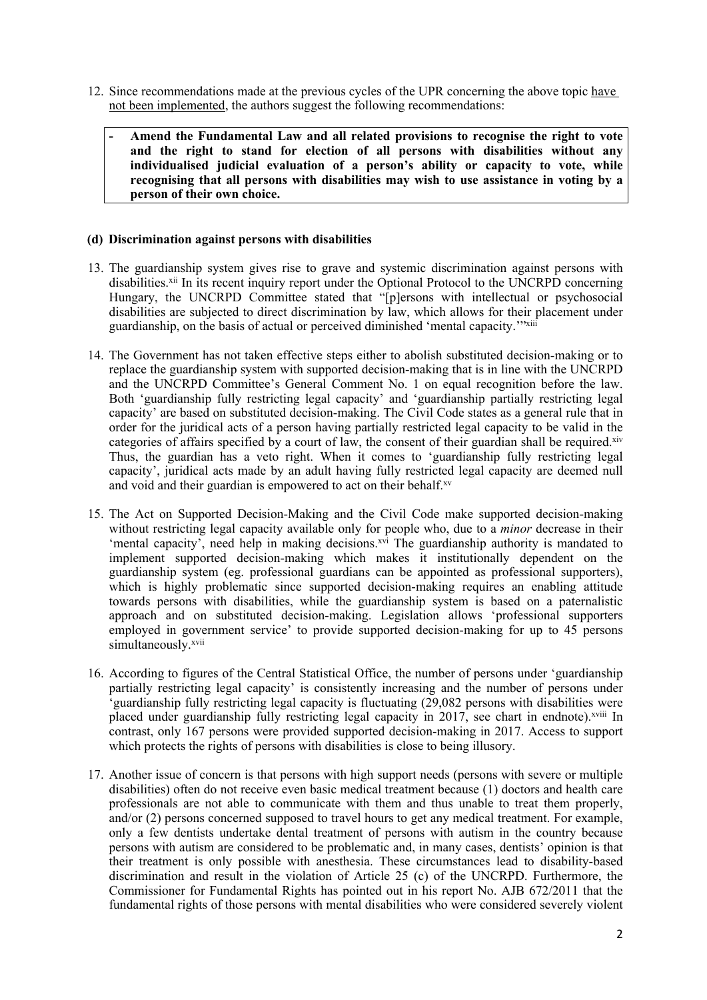- 12. Since recommendations made at the previous cycles of the UPR concerning the above topic have not been implemented, the authors sugges<sup>t</sup> the following recommendations:
	- **Amend the Fundamental Law and all related provisions to recognise the right to vote and the right to stand for election of all persons with disabilities without any individualised judicial evaluation of <sup>a</sup> person'<sup>s</sup> ability or capacity to vote, while recognising that all persons with disabilities may wish to use assistance in voting by <sup>a</sup> person of their own choice.**

### **(d) Discrimination against persons with disabilities**

- 13. The guardianship system gives rise to grave and systemic discrimination against persons with disabilities.<sup>xii</sup> In its recent inquiry report under the Optional Protocol to the UNCRPD concerning Hungary, the UNCRPD Committee stated that "[p]ersons with intellectual or psychosocial disabilities are subjected to direct discrimination by law, which allows for their placement under guardianship, on the basis of actual or perceived diminished 'mental capacity.'"xiii
- 14. The Government has not taken effective steps either to abolish substituted decision-making or to replace the guardianship system with supported decision-making that is in line with the UNCRPD and the UNCRPD Committee'<sup>s</sup> General Comment No. 1 on equal recognition before the law. Both 'guardianship fully restricting legal capacity' and 'guardianship partially restricting legal capacity' are based on substituted decision-making. The Civil Code states as <sup>a</sup> general rule that in order for the juridical acts of <sup>a</sup> person having partially restricted legal capacity to be valid in the categories of affairs specified by a court of law, the consent of their guardian shall be required.<sup>xiv</sup> Thus, the guardian has <sup>a</sup> veto right. When it comes to 'guardianship fully restricting legal capacity', juridical acts made by an adult having fully restricted legal capacity are deemed null and void and their guardian is empowered to act on their behalf. xv
- 15. The Act on Supported Decision-Making and the Civil Code make supported decision-making without restricting legal capacity available only for people who, due to <sup>a</sup> *minor* decrease in their 'mental capacity', need help in making decisions.<sup>xvi</sup> The guardianship authority is mandated to implement supported decision-making which makes it institutionally dependent on the guardianship system (eg. professional guardians can be appointed as professional supporters), which is highly problematic since supported decision-making requires an enabling attitude towards persons with disabilities, while the guardianship system is based on <sup>a</sup> paternalistic approach and on substituted decision-making. Legislation allows 'professional supporters employed in government service' to provide supported decision-making for up to 45 persons simultaneously. xvii
- 16. According to figures of the Central Statistical Office, the number of persons under 'guardianship partially restricting legal capacity' is consistently increasing and the number of persons under 'guardianship fully restricting legal capacity is fluctuating (29,082 persons with disabilities were placed under guardianship fully restricting legal capacity in 2017, see chart in endnote). xviii In contrast, only 167 persons were provided supported decision-making in 2017. Access to suppor<sup>t</sup> which protects the rights of persons with disabilities is close to being illusory.
- 17. Another issue of concern is that persons with high suppor<sup>t</sup> needs (persons with severe or multiple disabilities) often do not receive even basic medical treatment because (1) doctors and health care professionals are not able to communicate with them and thus unable to treat them properly, and/or (2) persons concerned supposed to travel hours to ge<sup>t</sup> any medical treatment. For example, only <sup>a</sup> few dentists undertake dental treatment of persons with autism in the country because persons with autism are considered to be problematic and, in many cases, dentists' opinion is that their treatment is only possible with anesthesia. These circumstances lead to disability-based discrimination and result in the violation of Article 25 (c) of the UNCRPD. Furthermore, the Commissioner for Fundamental Rights has pointed out in his repor<sup>t</sup> No. AJB 672/2011 that the fundamental rights of those persons with mental disabilities who were considered severely violent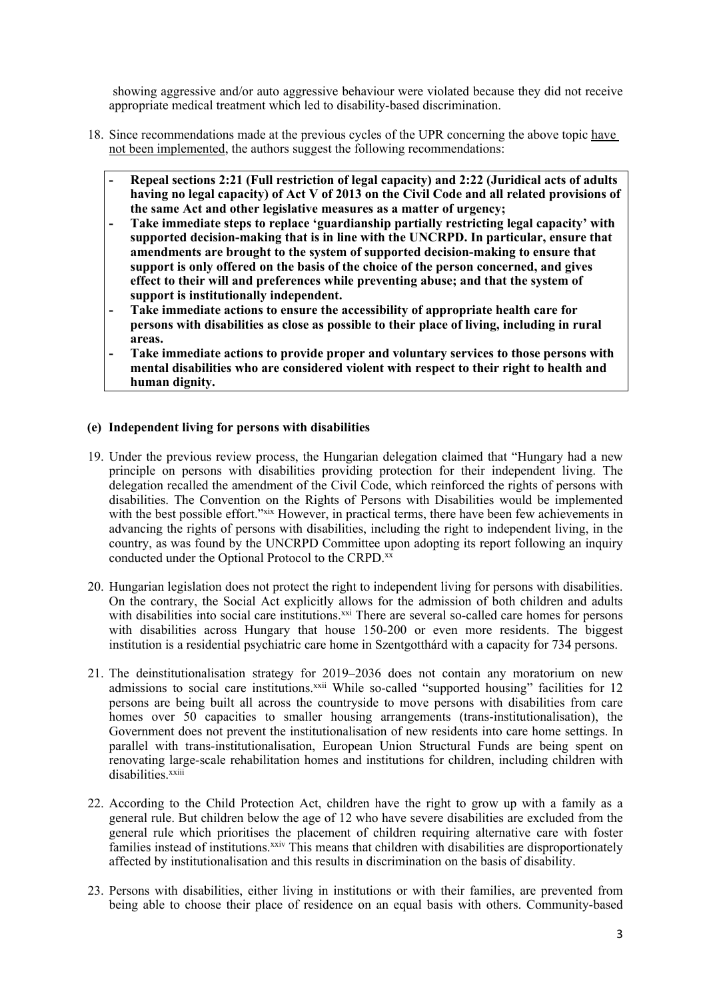showing aggressive and/or auto aggressive behaviour were violated because they did not receive appropriate medical treatment which led to disability-based discrimination.

- 18. Since recommendations made at the previous cycles of the UPR concerning the above topic have not been implemented, the authors sugges<sup>t</sup> the following recommendations:
	- **Repeal sections 2:21 (Full restriction of legal capacity) and 2:22 (Juridical acts of adults** having no legal capacity) of Act V of 2013 on the Civil Code and all related provisions of **the same Act and other legislative measures as <sup>a</sup> matter of urgency;**
	- **- Take immediate steps to replace 'guardianship partially restricting legal capacity' with supported decision-making that is in line with the UNCRPD. In particular, ensure that amendments are brought to the system of supported decision-making to ensure that support is only offered on the basis of the choice of the person concerned, and gives effect to their will and preferences while preventing abuse; and that the system of support is institutionally independent.**
	- **Take immediate actions to ensure the accessibility of appropriate health care for persons with disabilities as close as possible to their place of living, including in rural areas.**
	- **Take immediate actions to provide proper and voluntary services to those persons with mental disabilities who are considered violent with respect to their right to health and human dignity.**

### **(e) Independent living for persons with disabilities**

- 19. Under the previous review process, the Hungarian delegation claimed that "Hungary had <sup>a</sup> new principle on persons with disabilities providing protection for their independent living. The delegation recalled the amendment of the Civil Code, which reinforced the rights of persons with disabilities. The Convention on the Rights of Persons with Disabilities would be implemented with the best possible effort.<sup>"xix</sup> However, in practical terms, there have been few achievements in advancing the rights of persons with disabilities, including the right to independent living, in the country, as was found by the UNCRPD Committee upon adopting its repor<sup>t</sup> following an inquiry conducted under the Optional Protocol to the CRPD. xx
- 20. Hungarian legislation does not protect the right to independent living for persons with disabilities. On the contrary, the Social Act explicitly allows for the admission of both children and adults with disabilities into social care institutions.<sup>xxi</sup> There are several so-called care homes for persons with disabilities across Hungary that house 150-200 or even more residents. The biggest institution is <sup>a</sup> residential psychiatric care home in Szentgotthárd with <sup>a</sup> capacity for 734 persons.
- 21. The deinstitutionalisation strategy for 2019–2036 does not contain any moratorium on new admissions to social care institutions.<sup>xxii</sup> While so-called "supported housing" facilities for 12 persons are being built all across the countryside to move persons with disabilities from care homes over 50 capacities to smaller housing arrangements (trans-institutionalisation), the Government does not preven<sup>t</sup> the institutionalisation of new residents into care home settings. In parallel with trans-institutionalisation, European Union Structural Funds are being spen<sup>t</sup> on renovating large-scale rehabilitation homes and institutions for children, including children with disabilities.<sup>xxiii</sup>
- 22. According to the Child Protection Act, children have the right to grow up with <sup>a</sup> family as <sup>a</sup> general rule. But children below the age of 12 who have severe disabilities are excluded from the general rule which prioritises the placement of children requiring alternative care with foster families instead of institutions.<sup>xxiv</sup> This means that children with disabilities are disproportionately affected by institutionalisation and this results in discrimination on the basis of disability.
- 23. Persons with disabilities, either living in institutions or with their families, are prevented from being able to choose their place of residence on an equal basis with others. Community-based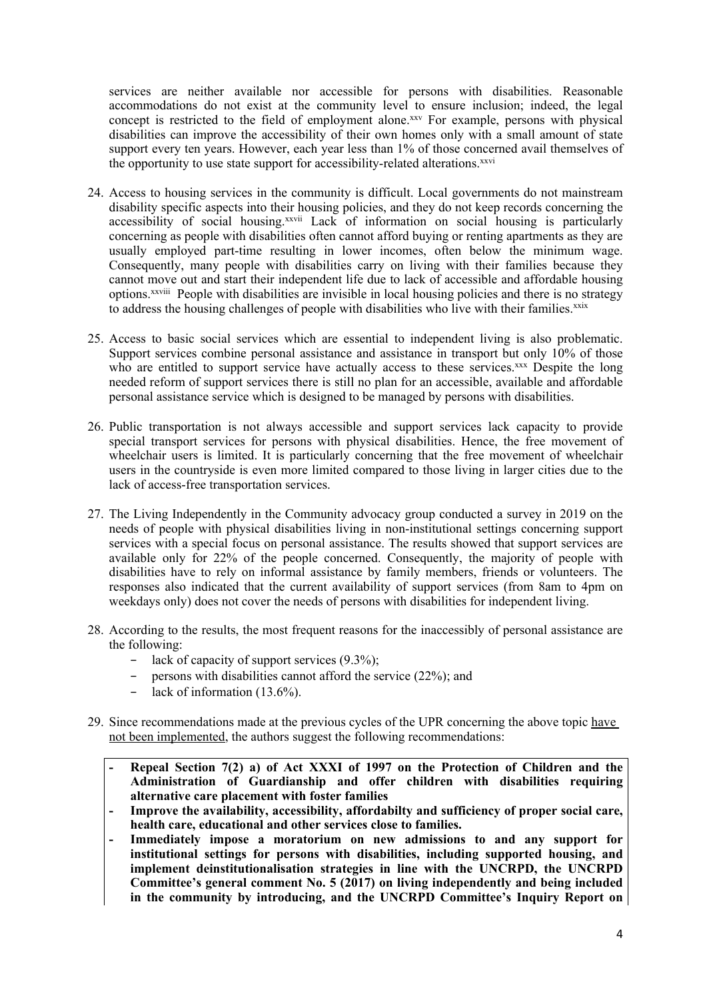services are neither available nor accessible for persons with disabilities. Reasonable accommodations do not exist at the community level to ensure inclusion; indeed, the legal concept is restricted to the field of employment alone.<sup>xxv</sup> For example, persons with physical disabilities can improve the accessibility of their own homes only with <sup>a</sup> small amount of state suppor<sup>t</sup> every ten years. However, each year less than 1% of those concerned avail themselves of the opportunity to use state support for accessibility-related alterations.<sup>xxvi</sup>

- 24. Access to housing services in the community is difficult. Local governments do not mainstream disability specific aspects into their housing policies, and they do not keep records concerning the accessibility of social housing.<sup>xxvii</sup> Lack of information on social housing is particularly concerning as people with disabilities often cannot afford buying or renting apartments as they are usually employed part-time resulting in lower incomes, often below the minimum wage. Consequently, many people with disabilities carry on living with their families because they cannot move out and start their independent life due to lack of accessible and affordable housing options.<sup>xxviii</sup> People with disabilities are invisible in local housing policies and there is no strategy to address the housing challenges of people with disabilities who live with their families.<sup>xxix</sup>
- 25. Access to basic social services which are essential to independent living is also problematic. Support services combine personal assistance and assistance in transport but only 10% of those who are entitled to support service have actually access to these services.<sup>xxx</sup> Despite the long needed reform of suppor<sup>t</sup> services there is still no plan for an accessible, available and affordable personal assistance service which is designed to be managed by persons with disabilities.
- 26. Public transportation is not always accessible and suppor<sup>t</sup> services lack capacity to provide special transport services for persons with physical disabilities. Hence, the free movement of wheelchair users is limited. It is particularly concerning that the free movement of wheelchair users in the countryside is even more limited compared to those living in larger cities due to the lack of access-free transportation services.
- 27. The Living Independently in the Community advocacy group conducted <sup>a</sup> survey in 2019 on the needs of people with physical disabilities living in non-institutional settings concerning suppor<sup>t</sup> services with <sup>a</sup> special focus on personal assistance. The results showed that suppor<sup>t</sup> services are available only for 22% of the people concerned. Consequently, the majority of people with disabilities have to rely on informal assistance by family members, friends or volunteers. The responses also indicated that the current availability of suppor<sup>t</sup> services (from 8am to 4pm on weekdays only) does not cover the needs of persons with disabilities for independent living.
- 28. According to the results, the most frequent reasons for the inaccessibly of personal assistance are the following:
	- − lack of capacity of suppor<sup>t</sup> services (9.3%);
	- − persons with disabilities cannot afford the service (22%); and
	- − lack of information (13.6%).
- 29. Since recommendations made at the previous cycles of the UPR concerning the above topic have not been implemented, the authors sugges<sup>t</sup> the following recommendations:
	- **Repeal Section 7(2) a) of Act XXXI of 1997 on the Protection of Children and the Administration of Guardianship and offer children with disabilities requiring alternative care placement with foster families**
	- **Improve the availability, accessibility, affordabilty and sufficiency of proper social care, health care, educational and other services close to families.**
	- **Immediately impose <sup>a</sup> moratorium on new admissions to and any support for institutional settings for persons with disabilities, including supported housing, and implement deinstitutionalisation strategies in line with the UNCRPD, the UNCRPD Committee'<sup>s</sup> general comment No. 5 (2017) on living independently and being included in the community by introducing, and the UNCRPD Committee'<sup>s</sup> Inquiry Report on**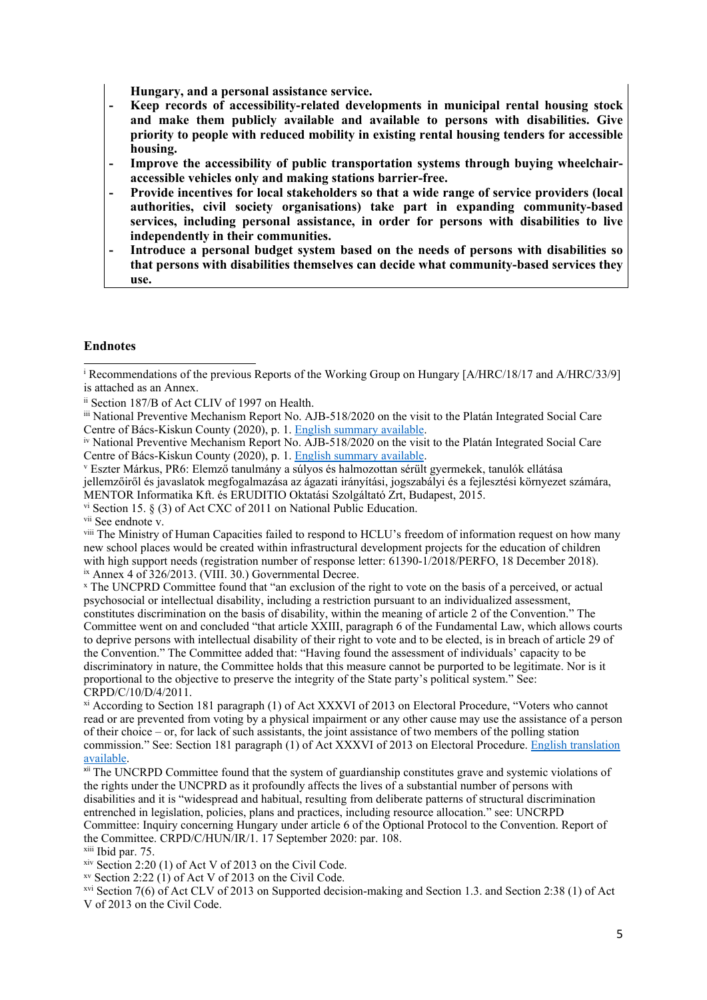**Hungary, and <sup>a</sup> personal assistance service.**

- **Keep records of accessibility-related developments in municipal rental housing stock and make them publicly available and available to persons with disabilities. Give priority to people with reduced mobility in existing rental housing tenders for accessible housing.**
- **Improve the accessibility of public transportation systems through buying wheelchairaccessible vehicles only and making stations barrier-free.**
- **- Provide incentives for local stakeholders so that <sup>a</sup> wide range of service providers (local authorities, civil society organisations) take part in expanding community-based services, including personal assistance, in order for persons with disabilities to live independently in their communities.**
- **Introduce <sup>a</sup> personal budget system based on the needs of persons with disabilities so that persons with disabilities themselves can decide what community-based services they use.**

#### **Endnotes**

vi Section 15. § (3) of Act CXC of 2011 on National Public Education.

<sup>vii</sup> See endnote v.

viii The Ministry of Human Capacities failed to respond to HCLU'<sup>s</sup> freedom of information reques<sup>t</sup> on how many new school places would be created within infrastructural development projects for the education of children with high support needs (registration number of response letter: 61390-1/2018/PERFO, 18 December 2018). ix Annex <sup>4</sup> of 326/2013. (VIII. 30.) Governmental Decree.

x The UNCPRD Committee found that "an exclusion of the right to vote on the basis of <sup>a</sup> perceived, or actual psychosocial or intellectual disability, including <sup>a</sup> restriction pursuan<sup>t</sup> to an individualized assessment, constitutes discrimination on the basis of disability, within the meaning of article 2 of the Convention." The Committee went on and concluded "that article XXIII, paragraph 6 of the Fundamental Law, which allows courts to deprive persons with intellectual disability of their right to vote and to be elected, is in breach of article 29 of the Convention." The Committee added that: "Having found the assessment of individuals' capacity to be discriminatory in nature, the Committee holds that this measure cannot be purported to be legitimate. Nor is it proportional to the objective to preserve the integrity of the State party'<sup>s</sup> political system." See: CRPD/C/10/D/4/2011.

xi According to Section 181 paragraph (1) of Act XXXVI of 2013 on Electoral Procedure, "Voters who cannot read or are prevented from voting by <sup>a</sup> physical impairment or any other cause may use the assistance of <sup>a</sup> person of their choice – or, for lack of such assistants, the joint assistance of two members of the polling station commission." See: Section 181 paragraph (1) of Act XXXVI of 2013 on Electoral Procedure. English [translation](https://www.valasztas.hu/documents/538536/548702/Act+XXXVI+of+2013+on+Electoral+Procedure.pdf/2e82a257-b592-4819-923f-eac4a18cfec6) [available](https://www.valasztas.hu/documents/538536/548702/Act+XXXVI+of+2013+on+Electoral+Procedure.pdf/2e82a257-b592-4819-923f-eac4a18cfec6).

xii The UNCRPD Committee found that the system of guardianship constitutes grave and systemic violations of the rights under the UNCPRD as it profoundly affects the lives of <sup>a</sup> substantial number of persons with disabilities and it is "widespread and habitual, resulting from deliberate patterns of structural discrimination entrenched in legislation, policies, plans and practices, including resource allocation." see: UNCRPD Committee: Inquiry concerning Hungary under article 6 of the Optional Protocol to the Convention. Report of the Committee. CRPD/C/HUN/IR/1. 17 September 2020: par. 108.

<sup>xiii</sup> Ibid par. 75.

xiv Section 2:20 (1) of Act V of 2013 on the Civil Code.

xv Section 2:22 (1) of Act V of 2013 on the Civil Code.

xvi Section 7(6) of Act CLV of 2013 on Supported decision-making and Section 1.3. and Section 2:38 (1) of Act V of 2013 on the Civil Code.

<sup>i</sup> Recommendations of the previous Reports of the Working Group on Hungary [A/HRC/18/17 and A/HRC/33/9] is attached as an Annex.

ii Section 187/B of Act CLIV of 1997 on Health.

iii National Preventive Mechanism Report No. AJB-518/2020 on the visit to the Platán Integrated Social Care Centre of Bács-Kiskun County (2020), p. 1. [English](http://www.ajbh.hu/documents/14315/3445914/518_2020_Summary+of+Case+Report_2.pdf/817c48da-c357-384a-adef-3eeed2155367) summary available.

iv National Preventive Mechanism Report No. AJB-518/2020 on the visit to the Platán Integrated Social Care Centre of Bács-Kiskun County (2020), p. 1. [English](http://www.ajbh.hu/documents/14315/3445914/518_2020_Summary+of+Case+Report_2.pdf/817c48da-c357-384a-adef-3eeed2155367) summary available.

v Eszter Márkus, PR6: Elemző tanulmány <sup>a</sup> súlyos és halmozottan sérült gyermekek, tanulók ellátása jellemzőiről és javaslatok megfogalmazása az ágazati irányítási, jogszabályi és <sup>a</sup> fejlesztési környezet számára, MENTOR Informatika Kft. és ERUDITIO Oktatási Szolgáltató Zrt, Budapest, 2015.